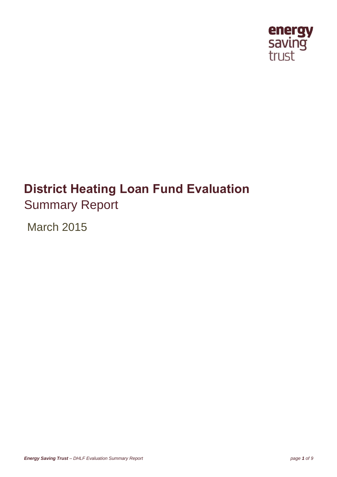

# **District Heating Loan Fund Evaluation** Summary Report

March 2015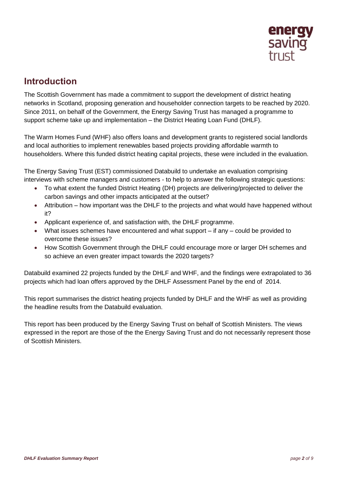

# **Introduction**

The Scottish Government has made a commitment to support the development of district heating networks in Scotland, proposing generation and householder connection targets to be reached by 2020. Since 2011, on behalf of the Government, the Energy Saving Trust has managed a programme to support scheme take up and implementation – the District Heating Loan Fund (DHLF).

The Warm Homes Fund (WHF) also offers loans and development grants to registered social landlords and local authorities to implement renewables based projects providing affordable warmth to householders. Where this funded district heating capital projects, these were included in the evaluation.

The Energy Saving Trust (EST) commissioned Databuild to undertake an evaluation comprising interviews with scheme managers and customers - to help to answer the following strategic questions:

- To what extent the funded District Heating (DH) projects are delivering/projected to deliver the carbon savings and other impacts anticipated at the outset?
- Attribution how important was the DHLF to the projects and what would have happened without it?
- Applicant experience of, and satisfaction with, the DHLF programme.
- What issues schemes have encountered and what support if any could be provided to overcome these issues?
- How Scottish Government through the DHLF could encourage more or larger DH schemes and so achieve an even greater impact towards the 2020 targets?

Databuild examined 22 projects funded by the DHLF and WHF, and the findings were extrapolated to 36 projects which had loan offers approved by the DHLF Assessment Panel by the end of 2014.

This report summarises the district heating projects funded by DHLF and the WHF as well as providing the headline results from the Databuild evaluation.

This report has been produced by the Energy Saving Trust on behalf of Scottish Ministers. The views expressed in the report are those of the the Energy Saving Trust and do not necessarily represent those of Scottish Ministers.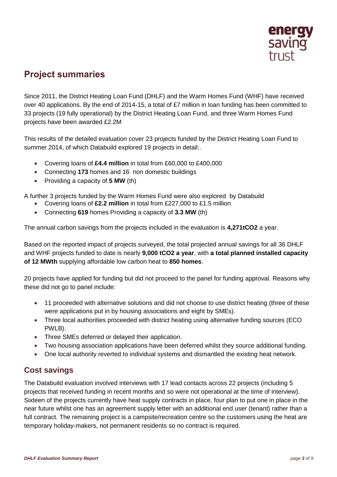

# **Project summaries**

Since 2011, the District Heating Loan Fund (DHLF) and the Warm Homes Fund (WHF) have received over 40 applications. By the end of 2014-15, a total of £7 million in loan funding has been committed to 33 projects (19 fully operational) by the District Heating Loan Fund, and three Warm Homes Fund projects have been awarded £2.2M

This results of the detailed evaluation cover 23 projects funded by the District Heating Loan Fund to summer 2014, of which Databuild explored 19 projects in detail:.

- Covering loans of **£4.4 million** in total from £60,000 to £400,000
- Connecting **173** homes and 16 non domestic buildings
- Providing a capacity of **5 MW** (th)

A further 3 projects funded by the Warm Homes Fund were also explored by Databuild

- Covering loans of **£2.2 million** in total from £227,000 to £1.5 million
- Connecting **619** homes Providing a capacity of **3.3 MW** (th)

The annual carbon savings from the projects included in the evaluation is **4,271tCO2** a year.

Based on the reported impact of projects surveyed, the total projected annual savings for all 36 DHLF and WHF projects funded to date is nearly **9,000 tCO2 a year**, with **a total planned installed capacity of 12 MWth** supplying affordable low carbon heat to **850 homes**.

20 projects have applied for funding but did not proceed to the panel for funding approval. Reasons why these did not go to panel include:

- 11 proceeded with alternative solutions and did not choose to use district heating (three of these were applications put in by housing associations and eight by SMEs).
- Three local authorities proceeded with district heating using alternative funding sources (ECO PWLB).
- Three SMEs deferred or delayed their application.
- Two housing association applications have been deferred whilst they source additional funding.
- One local authority reverted to individual systems and dismantled the existing heat network.

#### **Cost savings**

The Databuild evaluation involved interviews with 17 lead contacts across 22 projects (including 5 projects that received funding in recent months and so were not operational at the time of interview). Sixteen of the projects currently have heat supply contracts in place, four plan to put one in place in the near future whilst one has an agreement supply letter with an additional end user (tenant) rather than a full contract. The remaining project is a campsite/recreation centre so the customers using the heat are temporary holiday-makers, not permanent residents so no contract is required.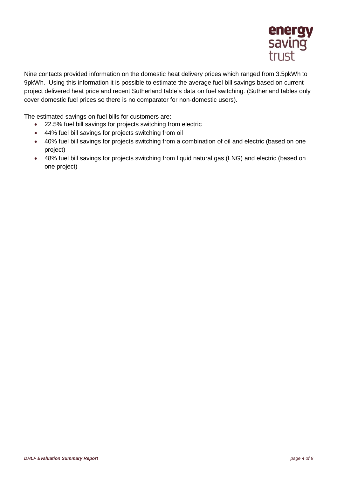

Nine contacts provided information on the domestic heat delivery prices which ranged from 3.5pkWh to 9pkWh. Using this information it is possible to estimate the average fuel bill savings based on current project delivered heat price and recent Sutherland table's data on fuel switching. (Sutherland tables only cover domestic fuel prices so there is no comparator for non-domestic users).

The estimated savings on fuel bills for customers are:

- 22.5% fuel bill savings for projects switching from electric
- 44% fuel bill savings for projects switching from oil
- 40% fuel bill savings for projects switching from a combination of oil and electric (based on one project)
- 48% fuel bill savings for projects switching from liquid natural gas (LNG) and electric (based on one project)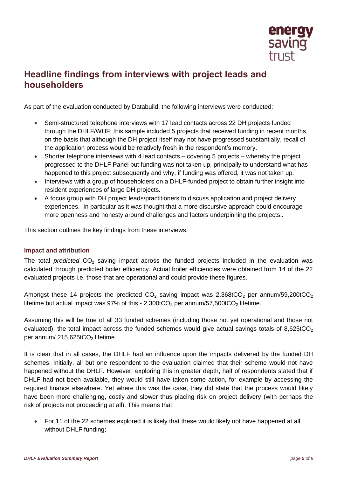

# **Headline findings from interviews with project leads and householders**

As part of the evaluation conducted by Databuild, the following interviews were conducted:

- Semi-structured telephone interviews with 17 lead contacts across 22 DH projects funded through the DHLF/WHF; this sample included 5 projects that received funding in recent months, on the basis that although the DH project itself may not have progressed substantially, recall of the application process would be relatively fresh in the respondent's memory.
- Shorter telephone interviews with 4 lead contacts covering 5 projects whereby the project progressed to the DHLF Panel but funding was not taken up, principally to understand what has happened to this project subsequently and why, if funding was offered, it was not taken up.
- Interviews with a group of householders on a DHLF-funded project to obtain further insight into resident experiences of large DH projects.
- A focus group with DH project leads/practitioners to discuss application and project delivery experiences. In particular as it was thought that a more discursive approach could encourage more openness and honesty around challenges and factors underpinning the projects..

This section outlines the key findings from these interviews.

#### **Impact and attribution**

The total *predicted* CO<sub>2</sub> saving impact across the funded projects included in the evaluation was calculated through predicted boiler efficiency. Actual boiler efficiencies were obtained from 14 of the 22 evaluated projects i.e. those that are operational and could provide these figures.

Amongst these 14 projects the predicted  $CO<sub>2</sub>$  saving impact was 2,368tCO<sub>2</sub> per annum/59,200tCO<sub>2</sub> lifetime but actual impact was  $97\%$  of this -  $2,300tCO_2$  per annum/57,500tCO<sub>2</sub> lifetime.

Assuming this will be true of all 33 funded schemes (including those not yet operational and those not evaluated), the total impact across the funded schemes would give actual savings totals of  $8,625tCO<sub>2</sub>$ per annum/  $215,625tCO<sub>2</sub>$  lifetime.

It is clear that in all cases, the DHLF had an influence upon the impacts delivered by the funded DH schemes. Initially, all but one respondent to the evaluation claimed that their scheme would not have happened without the DHLF. However, exploring this in greater depth, half of respondents stated that if DHLF had not been available, they would still have taken some action, for example by accessing the required finance elsewhere. Yet where this was the case, they did state that the process would likely have been more challenging, costly and slower thus placing risk on project delivery (with perhaps the risk of projects not proceeding at all). This means that:

 For 11 of the 22 schemes explored it is likely that these would likely not have happened at all without DHLF funding;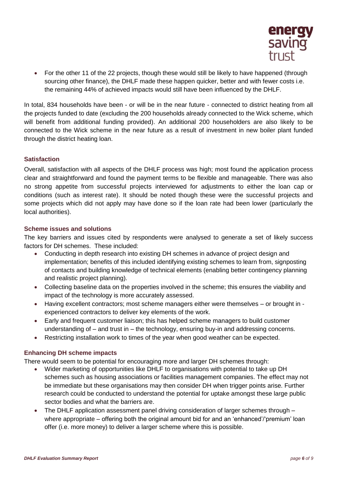

• For the other 11 of the 22 projects, though these would still be likely to have happened (through sourcing other finance), the DHLF made these happen quicker, better and with fewer costs i.e. the remaining 44% of achieved impacts would still have been influenced by the DHLF.

In total, 834 households have been - or will be in the near future - connected to district heating from all the projects funded to date (excluding the 200 households already connected to the Wick scheme, which will benefit from additional funding provided). An additional 200 householders are also likely to be connected to the Wick scheme in the near future as a result of investment in new boiler plant funded through the district heating loan.

#### **Satisfaction**

Overall, satisfaction with all aspects of the DHLF process was high; most found the application process clear and straightforward and found the payment terms to be flexible and manageable. There was also no strong appetite from successful projects interviewed for adjustments to either the loan cap or conditions (such as interest rate). It should be noted though these were the successful projects and some projects which did not apply may have done so if the loan rate had been lower (particularly the local authorities).

#### **Scheme issues and solutions**

The key barriers and issues cited by respondents were analysed to generate a set of likely success factors for DH schemes. These included:

- Conducting in depth research into existing DH schemes in advance of project design and implementation; benefits of this included identifying existing schemes to learn from, signposting of contacts and building knowledge of technical elements (enabling better contingency planning and realistic project planning).
- Collecting baseline data on the properties involved in the scheme; this ensures the viability and impact of the technology is more accurately assessed.
- Having excellent contractors; most scheme managers either were themselves or brought in experienced contractors to deliver key elements of the work.
- Early and frequent customer liaison; this has helped scheme managers to build customer understanding of – and trust in – the technology, ensuring buy-in and addressing concerns.
- Restricting installation work to times of the year when good weather can be expected.

#### **Enhancing DH scheme impacts**

There would seem to be potential for encouraging more and larger DH schemes through:

- Wider marketing of opportunities like DHLF to organisations with potential to take up DH schemes such as housing associations or facilities management companies. The effect may not be immediate but these organisations may then consider DH when trigger points arise. Further research could be conducted to understand the potential for uptake amongst these large public sector bodies and what the barriers are.
- The DHLF application assessment panel driving consideration of larger schemes through where appropriate – offering both the original amount bid for and an 'enhanced'/'premium' loan offer (i.e. more money) to deliver a larger scheme where this is possible.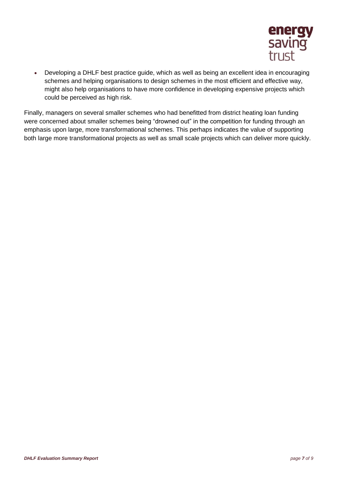

 Developing a DHLF best practice guide, which as well as being an excellent idea in encouraging schemes and helping organisations to design schemes in the most efficient and effective way, might also help organisations to have more confidence in developing expensive projects which could be perceived as high risk.

Finally, managers on several smaller schemes who had benefitted from district heating loan funding were concerned about smaller schemes being "drowned out" in the competition for funding through an emphasis upon large, more transformational schemes. This perhaps indicates the value of supporting both large more transformational projects as well as small scale projects which can deliver more quickly.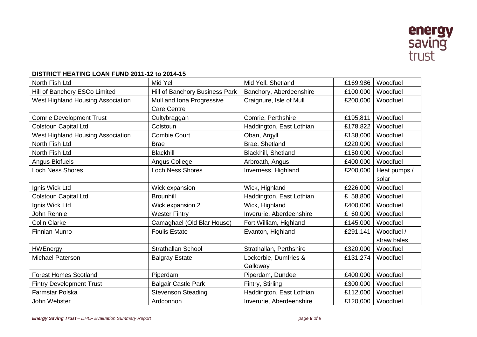

#### **DISTRICT HEATING LOAN FUND 2011-12 to 2014-15**

| North Fish Ltd                           | Mid Yell                       | Mid Yell, Shetland       | £169,986 | Woodfuel     |
|------------------------------------------|--------------------------------|--------------------------|----------|--------------|
| Hill of Banchory ESCo Limited            | Hill of Banchory Business Park | Banchory, Aberdeenshire  | £100,000 | Woodfuel     |
| West Highland Housing Association        | Mull and Iona Progressive      | Craignure, Isle of Mull  | £200,000 | Woodfuel     |
|                                          | <b>Care Centre</b>             |                          |          |              |
| <b>Comrie Development Trust</b>          | Cultybraggan                   | Comrie, Perthshire       | £195,811 | Woodfuel     |
| <b>Colstoun Capital Ltd</b>              | Colstoun                       | Haddington, East Lothian | £178,822 | Woodfuel     |
| <b>West Highland Housing Association</b> | <b>Combie Court</b>            | Oban, Argyll             | £138,000 | Woodfuel     |
| North Fish Ltd                           | <b>Brae</b>                    | Brae, Shetland           | £220,000 | Woodfuel     |
| North Fish Ltd                           | <b>Blackhill</b>               | Blackhill, Shetland      | £150,000 | Woodfuel     |
| Angus Biofuels                           | Angus College                  | Arbroath, Angus          | £400,000 | Woodfuel     |
| <b>Loch Ness Shores</b>                  | <b>Loch Ness Shores</b>        | Inverness, Highland      | £200,000 | Heat pumps / |
|                                          |                                |                          |          | solar        |
| Ignis Wick Ltd                           | Wick expansion                 | Wick, Highland           | £226,000 | Woodfuel     |
| <b>Colstoun Capital Ltd</b>              | <b>Brounhill</b>               | Haddington, East Lothian | £ 58,800 | Woodfuel     |
| Ignis Wick Ltd                           | Wick expansion 2               | Wick, Highland           | £400,000 | Woodfuel     |
| John Rennie                              | <b>Wester Fintry</b>           | Inverurie, Aberdeenshire | £ 60,000 | Woodfuel     |
| <b>Colin Clarke</b>                      | Camaghael (Old Blar House)     | Fort William, Highland   | £145,000 | Woodfuel     |
| <b>Finnian Munro</b>                     | <b>Foulis Estate</b>           | Evanton, Highland        | £291,141 | Woodfuel /   |
|                                          |                                |                          |          | straw bales  |
| <b>HWEnergy</b>                          | <b>Strathallan School</b>      | Strathallan, Perthshire  | £320,000 | Woodfuel     |
| <b>Michael Paterson</b>                  | <b>Balgray Estate</b>          | Lockerbie, Dumfries &    | £131,274 | Woodfuel     |
|                                          |                                | Galloway                 |          |              |
| <b>Forest Homes Scotland</b>             | Piperdam                       | Piperdam, Dundee         | £400,000 | Woodfuel     |
| <b>Fintry Development Trust</b>          | <b>Balgair Castle Park</b>     | Fintry, Stirling         | £300,000 | Woodfuel     |
| Farmstar Polska                          | <b>Stevenson Steading</b>      | Haddington, East Lothian | £112,000 | Woodfuel     |
| John Webster                             | Ardconnon                      | Inverurie, Aberdeenshire | £120,000 | Woodfuel     |